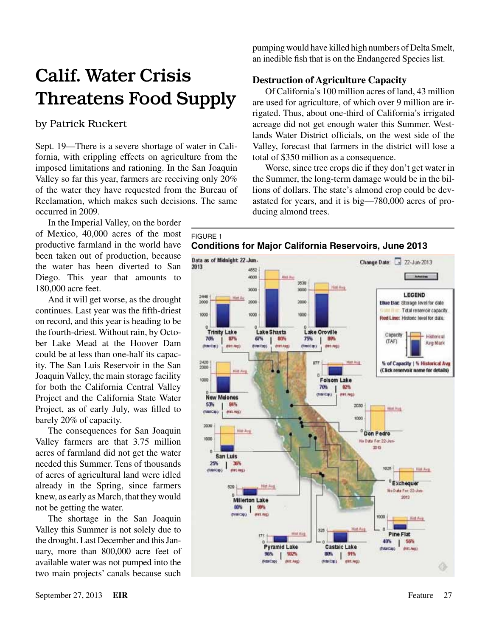# Calif. Water Crisis Threatens Food Supply

## by Patrick Ruckert

Sept. 19—There is a severe shortage of water in California, with crippling effects on agriculture from the imposed limitations and rationing. In the San Joaquin Valley so far this year, farmers are receiving only 20% of the water they have requested from the Bureau of Reclamation, which makes such decisions. The same occurred in 2009.

In the Imperial Valley, on the border of Mexico, 40,000 acres of the most productive farmland in the world have been taken out of production, because the water has been diverted to San Diego. This year that amounts to 180,000 acre feet.

And it will get worse, as the drought continues. Last year was the fifth-driest on record, and this year is heading to be the fourth-driest. Without rain, by October Lake Mead at the Hoover Dam could be at less than one-half its capacity. The San Luis Reservoir in the San Joaquin Valley, the main storage facility for both the California Central Valley Project and the California State Water Project, as of early July, was filled to barely 20% of capacity.

The consequences for San Joaquin Valley farmers are that 3.75 million acres of farmland did not get the water needed this Summer. Tens of thousands of acres of agricultural land were idled already in the Spring, since farmers knew, as early as March, that they would not be getting the water.

The shortage in the San Joaquin Valley this Summer is not solely due to the drought. Last December and this January, more than 800,000 acre feet of available water was not pumped into the two main projects' canals because such

pumping would have killed high numbers of Delta Smelt, an inedible fish that is on the Endangered Species list.

### **Destruction of Agriculture Capacity**

Of California's 100 million acres of land, 43 million are used for agriculture, of which over 9 million are irrigated. Thus, about one-third of California's irrigated acreage did not get enough water this Summer. Westlands Water District officials, on the west side of the Valley, forecast that farmers in the district will lose a total of \$350 million as a consequence.

Worse, since tree crops die if they don't get water in the Summer, the long-term damage would be in the billions of dollars. The state's almond crop could be devastated for years, and it is big—780,000 acres of producing almond trees.

#### FIGURE 1 **Conditions for Major California Reservoirs, June 2013**